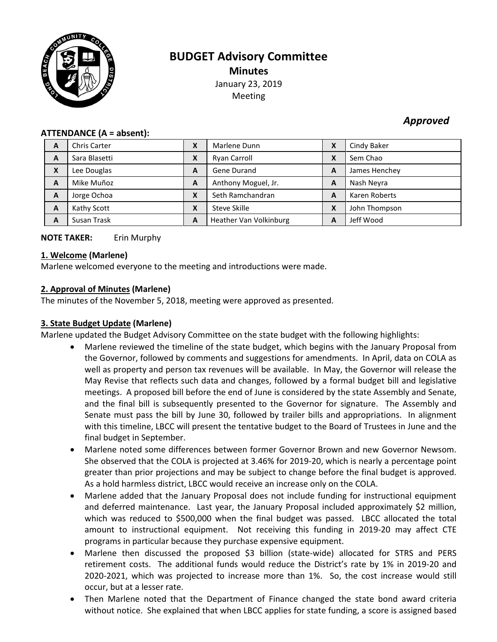

# **BUDGET Advisory Committee Minutes** January 23, 2019 Meeting

# *Approved*

#### **ATTENDANCE (A = absent):**

| A                         | <b>Chris Carter</b> | χ | Marlene Dunn           | X | Cindy Baker   |
|---------------------------|---------------------|---|------------------------|---|---------------|
| A                         | Sara Blasetti       | Χ | Ryan Carroll           | X | Sem Chao      |
| $\boldsymbol{\mathsf{x}}$ | Lee Douglas         | A | Gene Durand            | A | James Henchey |
| A                         | Mike Muñoz          | A | Anthony Moguel, Jr.    | A | Nash Neyra    |
| A                         | Jorge Ochoa         | X | Seth Ramchandran       | A | Karen Roberts |
| A                         | Kathy Scott         | X | Steve Skille           | X | John Thompson |
| A                         | Susan Trask         | A | Heather Van Volkinburg | A | Jeff Wood     |

# **NOTE TAKER:** Erin Murphy

#### **1. Welcome (Marlene)**

Marlene welcomed everyone to the meeting and introductions were made.

## **2. Approval of Minutes (Marlene)**

The minutes of the November 5, 2018, meeting were approved as presented.

# **3. State Budget Update (Marlene)**

Marlene updated the Budget Advisory Committee on the state budget with the following highlights:

- Marlene reviewed the timeline of the state budget, which begins with the January Proposal from the Governor, followed by comments and suggestions for amendments. In April, data on COLA as well as property and person tax revenues will be available. In May, the Governor will release the May Revise that reflects such data and changes, followed by a formal budget bill and legislative meetings. A proposed bill before the end of June is considered by the state Assembly and Senate, and the final bill is subsequently presented to the Governor for signature. The Assembly and Senate must pass the bill by June 30, followed by trailer bills and appropriations. In alignment with this timeline, LBCC will present the tentative budget to the Board of Trustees in June and the final budget in September.
- Marlene noted some differences between former Governor Brown and new Governor Newsom. She observed that the COLA is projected at 3.46% for 2019-20, which is nearly a percentage point greater than prior projections and may be subject to change before the final budget is approved. As a hold harmless district, LBCC would receive an increase only on the COLA.
- Marlene added that the January Proposal does not include funding for instructional equipment and deferred maintenance. Last year, the January Proposal included approximately \$2 million, which was reduced to \$500,000 when the final budget was passed. LBCC allocated the total amount to instructional equipment. Not receiving this funding in 2019-20 may affect CTE programs in particular because they purchase expensive equipment.
- Marlene then discussed the proposed \$3 billion (state-wide) allocated for STRS and PERS retirement costs. The additional funds would reduce the District's rate by 1% in 2019-20 and 2020-2021, which was projected to increase more than 1%. So, the cost increase would still occur, but at a lesser rate.
- Then Marlene noted that the Department of Finance changed the state bond award criteria without notice. She explained that when LBCC applies for state funding, a score is assigned based